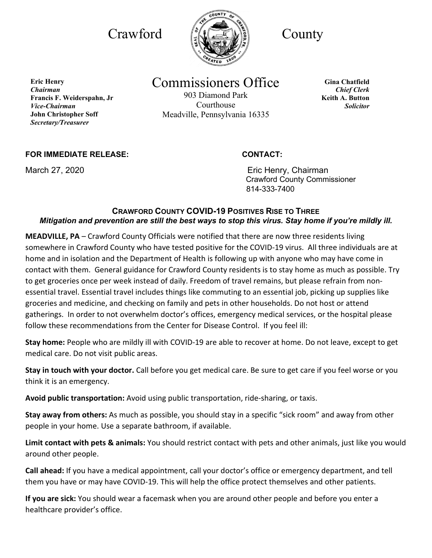

# Commissioners Office

903 Diamond Park Courthouse Meadville, Pennsylvania 16335

**Gina Chatfield** *Chief Clerk* **Keith A. Button** *Solicitor*

## **FOR IMMEDIATE RELEASE: CONTACT:**

**Francis F. Weiderspahn, Jr** 

**John Christopher Soff** *Secretary/Treasurer*

**Eric Henry** *Chairman*

*Vice-Chairman*

March 27, 2020 **Example 27, 2020** Eric Henry, Chairman Crawford County Commissioner 814-333-7400

## **CRAWFORD COUNTY COVID-19 POSITIVES RISE TO THREE** *Mitigation and prevention are still the best ways to stop this virus. Stay home if you're mildly ill.*

**MEADVILLE, PA** – Crawford County Officials were notified that there are now three residents living somewhere in Crawford County who have tested positive for the COVID-19 virus. All three individuals are at home and in isolation and the Department of Health is following up with anyone who may have come in contact with them. General guidance for Crawford County residents is to stay home as much as possible. Try to get groceries once per week instead of daily. Freedom of travel remains, but please refrain from nonessential travel. Essential travel includes things like commuting to an essential job, picking up supplies like groceries and medicine, and checking on family and pets in other households. Do not host or attend gatherings. In order to not overwhelm doctor's offices, emergency medical services, or the hospital please follow these recommendations from the Center for Disease Control. If you feel ill:

**Stay home:** People who are mildly ill with COVID-19 are able to recover at home. Do not leave, except to get medical care. Do not visit public areas.

**Stay in touch with your doctor.** Call before you get medical care. Be sure to get care if you feel worse or you think it is an emergency.

**Avoid public transportation:** Avoid using public transportation, ride-sharing, or taxis.

**Stay away from others:** As much as possible, you should stay in a specific "sick room" and away from other people in your home. Use a separate bathroom, if available.

**Limit contact with pets & animals:** You should restrict contact with pets and other animals, just like you would around other people.

**Call ahead:** If you have a medical appointment, call your doctor's office or emergency department, and tell them you have or may have COVID-19. This will help the office protect themselves and other patients.

**If you are sick:** You should wear a facemask when you are around other people and before you enter a healthcare provider's office.